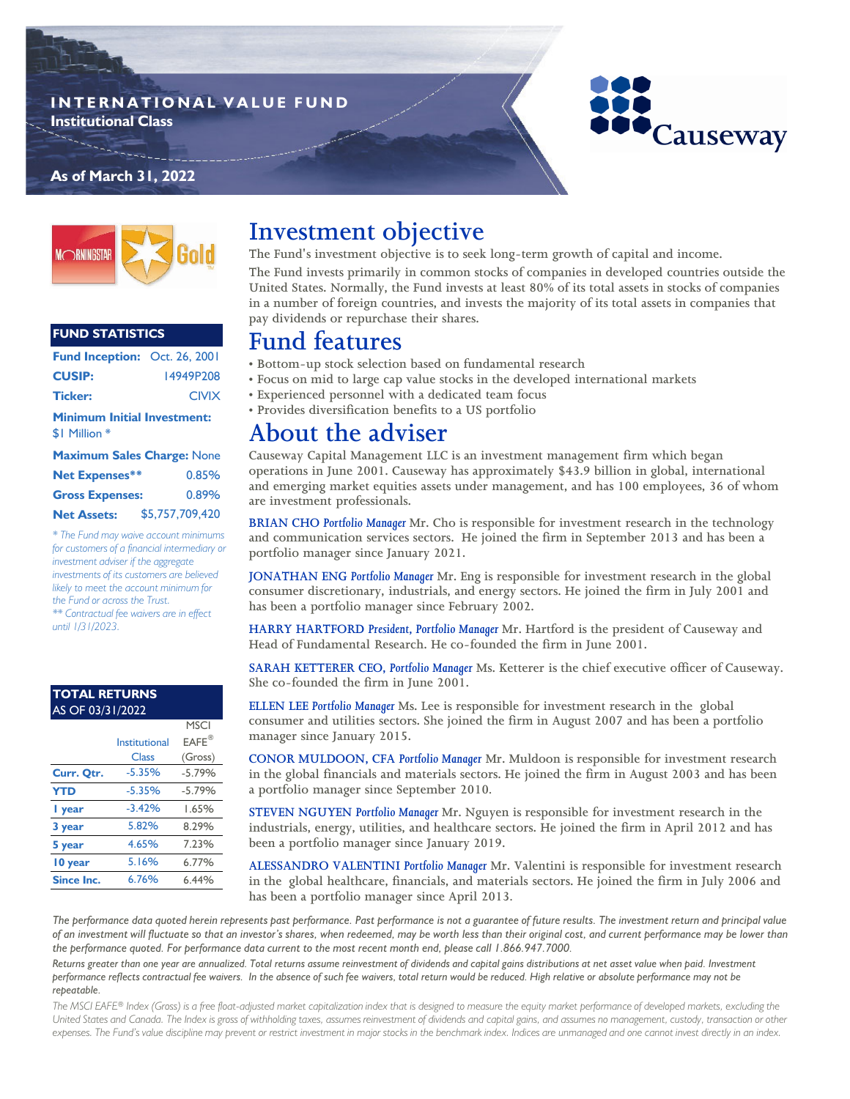### **I N T E R N A T I O N A L V A L U E F U N D Institutional Class**

## **As of March 31, 2022**



### **FUND STATISTICS**

| <b>Fund Inception: Oct. 26, 2001</b>                |              |  |  |  |
|-----------------------------------------------------|--------------|--|--|--|
| <b>CUSIP:</b>                                       | I4949P208    |  |  |  |
| <b>Ticker:</b>                                      | <b>CIVIX</b> |  |  |  |
| <b>Minimum Initial Investment:</b><br>\$1 Million * |              |  |  |  |
| <b>Maximum Sales Charge: None</b>                   |              |  |  |  |

| <b>Net Expenses**</b>  | 0.85%           |
|------------------------|-----------------|
| <b>Gross Expenses:</b> | 0.89%           |
| <b>Net Assets:</b>     | \$5,757,709,420 |

*\* The Fund may waive account minimums for customers of a financial intermediary or investment adviser if the aggregate investments of its customers are believed likely to meet the account minimum for the Fund or across the Trust. \*\* Contractual fee waivers are in effect until 1/31/2023.*

#### AS OF 03/31/2022 **TOTAL RETURNS**

|                   |               | <b>MSCI</b>           |
|-------------------|---------------|-----------------------|
|                   | Institutional | $E A F E^{\circledR}$ |
|                   | Class         | (Gross)               |
| Curr. Qtr.        | $-5.35%$      | $-5.79%$              |
| <b>YTD</b>        | $-5.35%$      | $-5.79%$              |
| I year            | $-3.42%$      | 1.65%                 |
| 3 year            | 5.82%         | 8.29%                 |
| 5 year            | 4.65%         | 7.23%                 |
| 10 year           | 5.16%         | 6.77%                 |
| <b>Since Inc.</b> | 6.76%         | 6.44%                 |

# **Investment objective**

**The Fund's investment objective is to seek long-term growth of capital and income.** 

**The Fund invests primarily in common stocks of companies in developed countries outside the United States. Normally, the Fund invests at least 80% of its total assets in stocks of companies in a number of foreign countries, and invests the majority of its total assets in companies that pay dividends or repurchase their shares.**

Causeway

# **Fund features**

- **Bottom-up stock selection based on fundamental research**
- **Focus on mid to large cap value stocks in the developed international markets**
- **Experienced personnel with a dedicated team focus**
- **Provides diversification benefits to a US portfolio**

# **About the adviser**

**Causeway Capital Management LLC is an investment management firm which began operations in June 2001. Causeway has approximately \$43.9 billion in global, international and emerging market equities assets under management, and has 100 employees, 36 of whom are investment professionals.** 

**BRIAN CHO** *Portfolio Manager* **Mr. Cho is responsible for investment research in the technology and communication services sectors. He joined the firm in September 2013 and has been a portfolio manager since January 2021.** 

**JONATHAN ENG** *Portfolio Manager* **Mr. Eng is responsible for investment research in the global consumer discretionary, industrials, and energy sectors. He joined the firm in July 2001 and has been a portfolio manager since February 2002.** 

**HARRY HARTFORD** *President, Portfolio Manager* **Mr. Hartford is the president of Causeway and Head of Fundamental Research. He co-founded the firm in June 2001.** 

**SARAH KETTERER CEO,** *Portfolio Manager* **Ms. Ketterer is the chief executive officer of Causeway. She co-founded the firm in June 2001.** 

**ELLEN LEE** *Portfolio Manager* **Ms. Lee is responsible for investment research in the global consumer and utilities sectors. She joined the firm in August 2007 and has been a portfolio manager since January 2015.** 

**CONOR MULDOON, CFA** *Portfolio Manager* **Mr. Muldoon is responsible for investment research in the global financials and materials sectors. He joined the firm in August 2003 and has been a portfolio manager since September 2010.**

**STEVEN NGUYEN** *Portfolio Manager* **Mr. Nguyen is responsible for investment research in the industrials, energy, utilities, and healthcare sectors. He joined the firm in April 2012 and has been a portfolio manager since January 2019.**

**ALESSANDRO VALENTINI** *Portfolio Manager* **Mr. Valentini is responsible for investment research in the global healthcare, financials, and materials sectors. He joined the firm in July 2006 and has been a portfolio manager since April 2013.**

*The performance data quoted herein represents past performance. Past performance is not a guarantee of future results. The investment return and principal value of an investment will fluctuate so that an investor's shares, when redeemed, may be worth less than their original cost, and current performance may be lower than the performance quoted. For performance data current to the most recent month end, please call 1.866.947.7000.*

Returns greater than one year are annualized. Total returns assume reinvestment of dividends and capital gains distributions at net asset value when paid. Investment *performance reflects contractual fee waivers. In the absence of such fee waivers, total return would be reduced. High relative or absolute performance may not be repeatable.*

*The MSCI EAFE® Index (Gross) is a free float-adjusted market capitalization index that is designed to measure the equity market performance of developed markets, excluding the*  United States and Canada. The Index is gross of withholding taxes, assumes reinvestment of dividends and capital gains, and assumes no management, custody, transaction or other *expenses. The Fund's value discipline may prevent or restrict investment in major stocks in the benchmark index. Indices are unmanaged and one cannot invest directly in an index.*